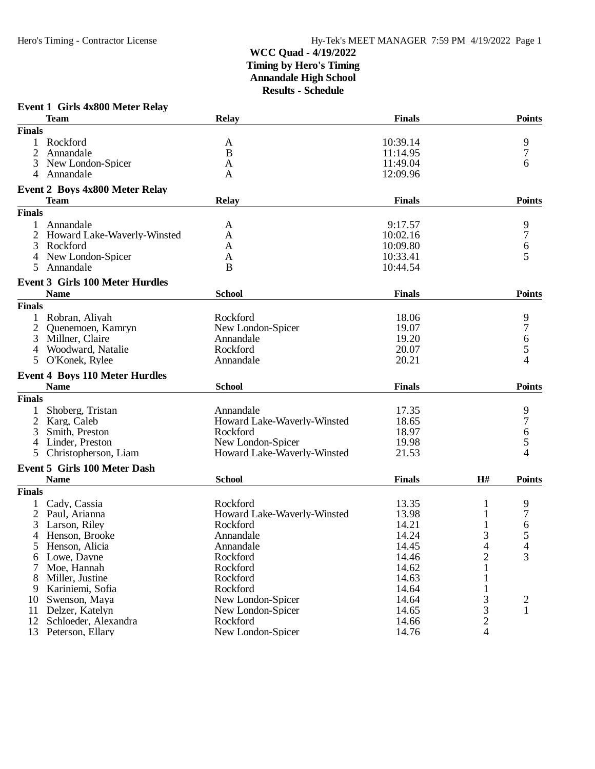#### **Event 1 Girls 4x800 Meter Relay**

|               | <b>Team</b>                            | <b>Relay</b>                | <b>Finals</b> |                | <b>Points</b> |
|---------------|----------------------------------------|-----------------------------|---------------|----------------|---------------|
| <b>Finals</b> |                                        |                             |               |                |               |
|               | Rockford                               | A                           | 10:39.14      |                | 9             |
| 2             | Annandale                              | B                           | 11:14.95      |                | 7             |
| 3             | New London-Spicer                      | A                           | 11:49.04      |                | 6             |
| 4             | Annandale                              | A                           | 12:09.96      |                |               |
|               | <b>Event 2 Boys 4x800 Meter Relay</b>  |                             |               |                |               |
|               | <b>Team</b>                            | <b>Relay</b>                | <b>Finals</b> |                | <b>Points</b> |
| <b>Finals</b> |                                        |                             |               |                |               |
| 1             | Annandale                              | A                           | 9:17.57       |                | 9             |
|               | Howard Lake-Waverly-Winsted            | A                           | 10:02.16      |                | 7             |
| 3             | Rockford                               | A                           | 10:09.80      |                | 6             |
|               | New London-Spicer                      | A                           | 10:33.41      |                | 5             |
| 5             | Annandale                              | B                           | 10:44.54      |                |               |
|               | <b>Event 3 Girls 100 Meter Hurdles</b> |                             |               |                |               |
|               | <b>Name</b>                            | <b>School</b>               | <b>Finals</b> |                | <b>Points</b> |
| <b>Finals</b> |                                        |                             |               |                |               |
|               | Robran, Aliyah                         | Rockford                    | 18.06         |                | 9             |
|               | Quenemoen, Kamryn                      | New London-Spicer           | 19.07         |                | 7             |
| 3             | Millner, Claire                        | Annandale                   | 19.20         |                | 6             |
| 4             | Woodward, Natalie                      | Rockford                    | 20.07         |                | 5             |
| 5             | O'Konek, Rylee                         | Annandale                   | 20.21         |                | 4             |
|               |                                        |                             |               |                |               |
|               | <b>Event 4 Boys 110 Meter Hurdles</b>  |                             |               |                | <b>Points</b> |
|               | <b>Name</b>                            | <b>School</b>               | <b>Finals</b> |                |               |
| <b>Finals</b> |                                        |                             |               |                |               |
|               | Shoberg, Tristan                       | Annandale                   | 17.35         |                | 9             |
| 2             | Karg, Caleb                            | Howard Lake-Waverly-Winsted | 18.65         |                | 7             |
| 3             | Smith, Preston                         | Rockford                    | 18.97         |                | 6             |
| 4             | Linder, Preston                        | New London-Spicer           | 19.98         |                | 5             |
| 5             | Christopherson, Liam                   | Howard Lake-Waverly-Winsted | 21.53         |                | 4             |
|               | <b>Event 5 Girls 100 Meter Dash</b>    |                             |               |                |               |
|               | <b>Name</b>                            | <b>School</b>               | <b>Finals</b> | H#             | <b>Points</b> |
| <b>Finals</b> |                                        |                             |               |                |               |
|               | Cady, Cassia                           | Rockford                    | 13.35         |                | 9             |
| 2             | Paul, Arianna                          | Howard Lake-Waverly-Winsted | 13.98         |                | 7             |
|               | Larson, Riley                          | Rockford                    | 14.21         |                | 6             |
|               | 4 Henson, Brooke                       | Annandale                   | 14.24         | 3              | 5             |
|               | 5 Henson, Alicia                       | Annandale                   | 14.45         | 4              | 4             |
|               | Lowe, Dayne                            | Rockford                    | 14.46         | $\overline{c}$ | 3             |
|               | Moe, Hannah                            | Rockford                    | 14.62         |                |               |
| 8             | Miller, Justine                        | Rockford                    | 14.63         |                |               |
| 9             | Kariniemi, Sofia                       | Rockford                    | 14.64         |                |               |
| 10            | Swenson, Maya                          | New London-Spicer           | 14.64         | 3              | 2             |
| 11            | Delzer, Katelyn                        | New London-Spicer           | 14.65         | 3              | 1             |
| 12            | Schloeder, Alexandra                   | Rockford                    | 14.66         | $\overline{c}$ |               |
| 13            | Peterson, Ellary                       | New London-Spicer           | 14.76         | $\overline{4}$ |               |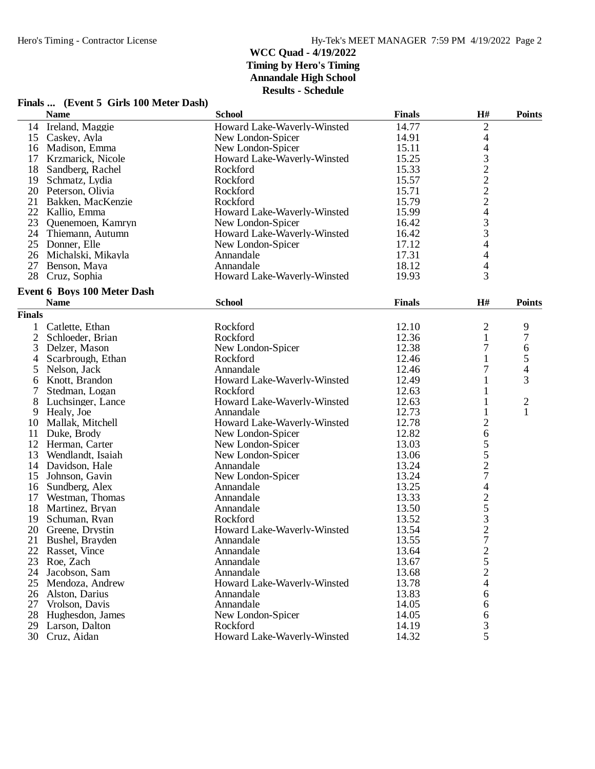# **Finals ... (Event 5 Girls 100 Meter Dash)**

|                | <b>Name</b>                 | <b>School</b>               | <b>Finals</b> | H#             | <b>Points</b>           |
|----------------|-----------------------------|-----------------------------|---------------|----------------|-------------------------|
|                | 14 Ireland, Maggie          | Howard Lake-Waverly-Winsted | 14.77         | $\overline{c}$ |                         |
|                | 15 Caskey, Ayla             | New London-Spicer           | 14.91         | 4              |                         |
| 16             | Madison, Emma               | New London-Spicer           | 15.11         | $\overline{4}$ |                         |
| 17             | Krzmarick, Nicole           | Howard Lake-Waverly-Winsted | 15.25         |                |                         |
| 18             | Sandberg, Rachel            | Rockford                    | 15.33         | 3222243        |                         |
| 19             | Schmatz, Lydia              | Rockford                    | 15.57         |                |                         |
|                | 20 Peterson, Olivia         | Rockford                    | 15.71         |                |                         |
| 21             | Bakken, MacKenzie           | Rockford                    | 15.79         |                |                         |
|                | 22 Kallio, Emma             | Howard Lake-Waverly-Winsted | 15.99         |                |                         |
| 23             | Quenemoen, Kamryn           | New London-Spicer           | 16.42         |                |                         |
|                | 24 Thiemann, Autumn         | Howard Lake-Waverly-Winsted | 16.42         |                |                         |
| 25             | Donner, Elle                | New London-Spicer           | 17.12         | $\overline{4}$ |                         |
| 26             | Michalski, Mikayla          | Annandale                   | 17.31         | 4              |                         |
| 27             | Benson, Maya                | Annandale                   | 18.12         | $\overline{4}$ |                         |
| 28             | Cruz, Sophia                | Howard Lake-Waverly-Winsted | 19.93         | 3              |                         |
|                |                             |                             |               |                |                         |
|                | Event 6 Boys 100 Meter Dash |                             |               |                |                         |
|                | <b>Name</b>                 | <b>School</b>               | <b>Finals</b> | H#             | <b>Points</b>           |
| <b>Finals</b>  |                             |                             |               |                |                         |
| 1              | Catlette, Ethan             | Rockford                    | 12.10         | $\overline{c}$ | 9                       |
| $\overline{c}$ | Schloeder, Brian            | Rockford                    | 12.36         | 1              | 7                       |
| 3              | Delzer, Mason               | New London-Spicer           | 12.38         | 7              | 6                       |
| 4              | Scarbrough, Ethan           | Rockford                    | 12.46         | $\mathbf{1}$   | 5                       |
| 5              | Nelson, Jack                | Annandale                   | 12.46         | 7              | 4                       |
| 6              | Knott, Brandon              | Howard Lake-Waverly-Winsted | 12.49         |                | 3                       |
| 7              | Stedman, Logan              | Rockford                    | 12.63         | 1              |                         |
| 8              | Luchsinger, Lance           | Howard Lake-Waverly-Winsted | 12.63         | 1              | $\overline{\mathbf{c}}$ |
| 9              | Healy, Joe                  | Annandale                   | 12.73         |                | $\mathbf{1}$            |
| 10             | Mallak, Mitchell            | Howard Lake-Waverly-Winsted | 12.78         | $\overline{c}$ |                         |
| 11             | Duke, Brody                 | New London-Spicer           | 12.82         | 6              |                         |
| 12             | Herman, Carter              | New London-Spicer           | 13.03         |                |                         |
| 13             | Wendlandt, Isaiah           | New London-Spicer           | 13.06         | $\frac{5}{2}$  |                         |
| 14             | Davidson, Hale              | Annandale                   | 13.24         |                |                         |
| 15             | Johnson, Gavin              | New London-Spicer           | 13.24         | $\overline{7}$ |                         |
| 16             | Sundberg, Alex              | Annandale                   | 13.25         | 4              |                         |
| 17             | Westman, Thomas             | Annandale                   | 13.33         |                |                         |
| 18             | Martinez, Bryan             | Annandale                   | 13.50         |                |                         |
| 19             | Schuman, Ryan               | Rockford                    | 13.52         | 25327          |                         |
| 20             | Greene, Drystin             | Howard Lake-Waverly-Winsted | 13.54         |                |                         |
| 21             | Bushel, Brayden             | Annandale                   | 13.55         |                |                         |
| 22             | Rasset, Vince               | Annandale                   | 13.64         |                |                         |
| 23             | Roe, Zach                   | Annandale                   | 13.67         |                |                         |
| 24             | Jacobson, Sam               | Annandale                   | 13.68         | $\frac{2}{5}$  |                         |
| 25             | Mendoza, Andrew             | Howard Lake-Waverly-Winsted | 13.78         | 4              |                         |
|                |                             |                             |               |                |                         |
| 26             | Alston, Darius              | Annandale                   | 13.83         | 6              |                         |
| 27             | Vrolson, Davis              | Annandale                   | 14.05         | 6              |                         |
| 28             | Hughesdon, James            | New London-Spicer           | 14.05         | 6              |                         |
| 29             | Larson, Dalton              | Rockford                    | 14.19         | 3              |                         |
| 30             | Cruz, Aidan                 | Howard Lake-Waverly-Winsted | 14.32         | 5              |                         |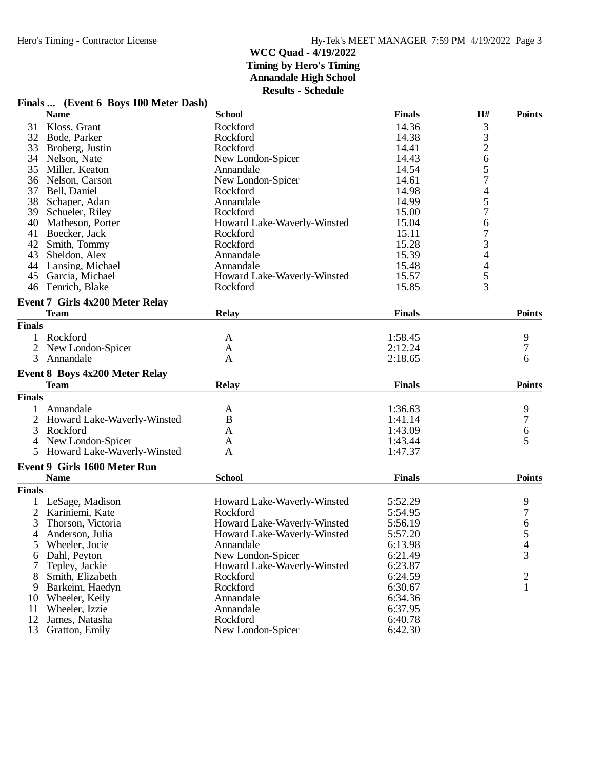| Finals  (Event 6 Boys 100 Meter Dash) |  |  |  |  |
|---------------------------------------|--|--|--|--|
|                                       |  |  |  |  |

|               | <b>Name</b>                            | <b>School</b>               | <b>Finals</b> | H#                       | <b>Points</b> |
|---------------|----------------------------------------|-----------------------------|---------------|--------------------------|---------------|
| 31            | Kloss, Grant                           | Rockford                    | 14.36         | 3                        |               |
|               | 32 Bode, Parker                        | Rockford                    | 14.38         |                          |               |
| 33            | Broberg, Justin                        | Rockford                    | 14.41         | $\frac{3}{2}$            |               |
| 34            | Nelson, Nate                           | New London-Spicer           | 14.43         | 6                        |               |
| 35            | Miller, Keaton                         | Annandale                   | 14.54         | 5                        |               |
| 36            | Nelson, Carson                         | New London-Spicer           | 14.61         | $\overline{7}$           |               |
| 37            | Bell, Daniel                           | Rockford                    | 14.98         | 4                        |               |
| 38            | Schaper, Adan                          | Annandale                   | 14.99         | 5                        |               |
| 39            | Schueler, Riley                        | Rockford                    | 15.00         | 7                        |               |
| 40            | Matheson, Porter                       | Howard Lake-Waverly-Winsted | 15.04         | 6                        |               |
| 41            | Boecker, Jack                          | Rockford                    | 15.11         | 7                        |               |
| 42            | Smith, Tommy                           | Rockford                    | 15.28         | 3                        |               |
| 43            | Sheldon, Alex                          | Annandale                   | 15.39         | 4                        |               |
|               | 44 Lansing, Michael                    | Annandale                   | 15.48         | $\overline{\mathcal{L}}$ |               |
|               | 45 Garcia, Michael                     | Howard Lake-Waverly-Winsted | 15.57         |                          |               |
|               | 46 Fenrich, Blake                      | Rockford                    | 15.85         | $rac{5}{3}$              |               |
|               |                                        |                             |               |                          |               |
|               | <b>Event 7 Girls 4x200 Meter Relay</b> |                             |               |                          |               |
|               | <b>Team</b>                            | Relay                       | <b>Finals</b> |                          | <b>Points</b> |
| <b>Finals</b> |                                        |                             |               |                          |               |
| 1             | Rockford                               | A                           | 1:58.45       |                          | 9             |
|               | New London-Spicer                      | A                           | 2:12.24       |                          | 7             |
| 3             | Annandale                              | A                           | 2:18.65       |                          | 6             |
|               | <b>Event 8 Boys 4x200 Meter Relay</b>  |                             |               |                          |               |
|               | <b>Team</b>                            | <b>Relay</b>                | <b>Finals</b> |                          | <b>Points</b> |
| <b>Finals</b> |                                        |                             |               |                          |               |
|               | Annandale                              |                             | 1:36.63       |                          |               |
| 2             | Howard Lake-Waverly-Winsted            | A<br>B                      | 1:41.14       |                          | 9<br>7        |
|               | Rockford                               |                             |               |                          |               |
| 3             |                                        | A                           | 1:43.09       |                          | 6             |
| 4             | New London-Spicer                      | A                           | 1:43.44       |                          | 5             |
| 5.            | Howard Lake-Waverly-Winsted            | A                           | 1:47.37       |                          |               |
|               | <b>Event 9 Girls 1600 Meter Run</b>    |                             |               |                          |               |
|               | <b>Name</b>                            | <b>School</b>               | <b>Finals</b> |                          | <b>Points</b> |
| <b>Finals</b> |                                        |                             |               |                          |               |
|               | LeSage, Madison                        | Howard Lake-Waverly-Winsted | 5:52.29       |                          | 9             |
|               | Kariniemi, Kate                        | Rockford                    | 5:54.95       |                          | 7             |
| 3             | Thorson, Victoria                      | Howard Lake-Waverly-Winsted | 5:56.19       |                          | 6             |
| 4             | Anderson, Julia                        | Howard Lake-Waverly-Winsted | 5:57.20       |                          | 5             |
|               | 5 Wheeler, Jocie                       | Annandale                   | 6:13.98       |                          |               |
| 6             | Dahl, Peyton                           | New London-Spicer           | 6:21.49       |                          | 3             |
|               | Tepley, Jackie                         | Howard Lake-Waverly-Winsted | 6:23.87       |                          |               |
| 8             | Smith, Elizabeth                       | Rockford                    | 6:24.59       |                          | 2             |
| 9             | Barkeim, Haedyn                        | Rockford                    | 6:30.67       |                          | $\mathbf{1}$  |
| 10            | Wheeler, Keily                         | Annandale                   | 6:34.36       |                          |               |
| 11            | Wheeler, Izzie                         | Annandale                   | 6:37.95       |                          |               |
| 12            | James, Natasha                         | Rockford                    | 6:40.78       |                          |               |
| 13            | Gratton, Emily                         | New London-Spicer           | 6:42.30       |                          |               |
|               |                                        |                             |               |                          |               |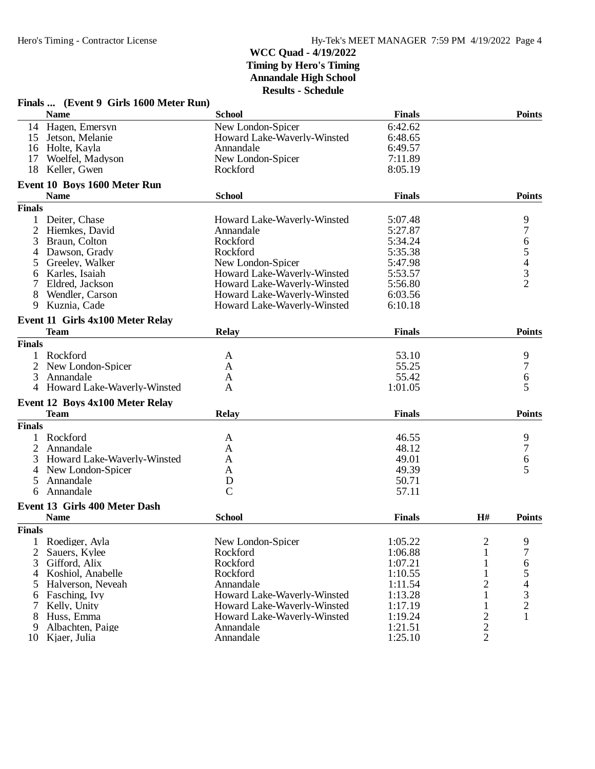|                | Finals  (Event 9 Girls 1600 Meter Run) |                             |               |                         |                                                 |
|----------------|----------------------------------------|-----------------------------|---------------|-------------------------|-------------------------------------------------|
|                | <b>Name</b>                            | <b>School</b>               | <b>Finals</b> |                         | <b>Points</b>                                   |
|                | 14 Hagen, Emersyn                      | New London-Spicer           | 6:42.62       |                         |                                                 |
| 15             | Jetson, Melanie                        | Howard Lake-Waverly-Winsted | 6:48.65       |                         |                                                 |
| 16             | Holte, Kayla                           | Annandale                   | 6:49.57       |                         |                                                 |
| 17             | Woelfel, Madyson                       | New London-Spicer           | 7:11.89       |                         |                                                 |
| 18             | Keller, Gwen                           | Rockford                    | 8:05.19       |                         |                                                 |
|                | Event 10 Boys 1600 Meter Run           |                             |               |                         |                                                 |
|                | <b>Name</b>                            | <b>School</b>               | <b>Finals</b> |                         | <b>Points</b>                                   |
| <b>Finals</b>  |                                        |                             |               |                         |                                                 |
|                | Deiter, Chase                          | Howard Lake-Waverly-Winsted | 5:07.48       |                         | 9                                               |
| $\overline{2}$ | Hiemkes, David                         | Annandale                   | 5:27.87       |                         | $\sqrt{ }$                                      |
| 3              | Braun, Colton                          | Rockford                    | 5:34.24       |                         |                                                 |
| 4              | Dawson, Grady                          | Rockford                    | 5:35.38       |                         |                                                 |
|                | Greeley, Walker                        | New London-Spicer           | 5:47.98       |                         | 6543                                            |
| 6              | Karles, Isaiah                         | Howard Lake-Waverly-Winsted | 5:53.57       |                         |                                                 |
|                | Eldred, Jackson                        | Howard Lake-Waverly-Winsted | 5:56.80       |                         | $\overline{2}$                                  |
| 8              | Wendler, Carson                        | Howard Lake-Waverly-Winsted | 6:03.56       |                         |                                                 |
| 9              | Kuznia, Cade                           | Howard Lake-Waverly-Winsted | 6:10.18       |                         |                                                 |
|                | Event 11 Girls 4x100 Meter Relay       |                             |               |                         |                                                 |
|                | <b>Team</b>                            | <b>Relay</b>                | <b>Finals</b> |                         | <b>Points</b>                                   |
| <b>Finals</b>  |                                        |                             |               |                         |                                                 |
|                | Rockford                               | A                           | 53.10         |                         | 9                                               |
|                | New London-Spicer                      | A                           | 55.25         |                         | $\boldsymbol{7}$                                |
| 3              | Annandale                              | A                           | 55.42         |                         | 6                                               |
|                | 4 Howard Lake-Waverly-Winsted          | A                           | 1:01.05       |                         | 5                                               |
|                | Event 12 Boys 4x100 Meter Relay        |                             |               |                         |                                                 |
|                | <b>Team</b>                            | <b>Relay</b>                | <b>Finals</b> |                         | <b>Points</b>                                   |
| <b>Finals</b>  |                                        |                             |               |                         |                                                 |
|                | Rockford                               | A                           | 46.55         |                         | 9                                               |
|                | Annandale                              | A                           | 48.12         |                         | 7                                               |
| 3              | Howard Lake-Waverly-Winsted            | A                           | 49.01         |                         | 6                                               |
| 4              | New London-Spicer                      | A                           | 49.39         |                         | 5                                               |
| 5              | Annandale                              | D                           | 50.71         |                         |                                                 |
| 6              | Annandale                              | $\mathcal{C}$               | 57.11         |                         |                                                 |
|                | Event 13 Girls 400 Meter Dash          |                             |               |                         |                                                 |
|                | <b>Name</b>                            | <b>School</b>               | <b>Finals</b> | H#                      | <b>Points</b>                                   |
| <b>Finals</b>  |                                        |                             |               |                         |                                                 |
| 1              | Roediger, Ayla                         | New London-Spicer           | 1:05.22       | $\overline{2}$          | 9                                               |
| 2              | Sauers, Kylee                          | Rockford                    | 1:06.88       | 1                       | $\overline{7}$                                  |
| 3              | Gifford, Alix                          | Rockford                    | 1:07.21       | 1                       | 6                                               |
| 4              | Koshiol, Anabelle                      | Rockford                    | 1:10.55       | 1                       |                                                 |
| 5              | Halverson, Neveah                      | Annandale                   | 1:11.54       | 2                       |                                                 |
| 6              | Fasching, Ivy                          | Howard Lake-Waverly-Winsted | 1:13.28       | 1                       | $\begin{array}{c} 5 \\ 4 \\ 3 \\ 2 \end{array}$ |
| 7              | Kelly, Unity                           | Howard Lake-Waverly-Winsted | 1:17.19       | $\mathbf{1}$            |                                                 |
| 8              | Huss, Emma                             | Howard Lake-Waverly-Winsted | 1:19.24       | $\overline{c}$          | $\mathbf{1}$                                    |
| 9              | Albachten, Paige                       | Annandale                   | 1:21.51       | $\overline{\mathbf{c}}$ |                                                 |
| 10             | Kjaer, Julia                           | Annandale                   | 1:25.10       | $\overline{2}$          |                                                 |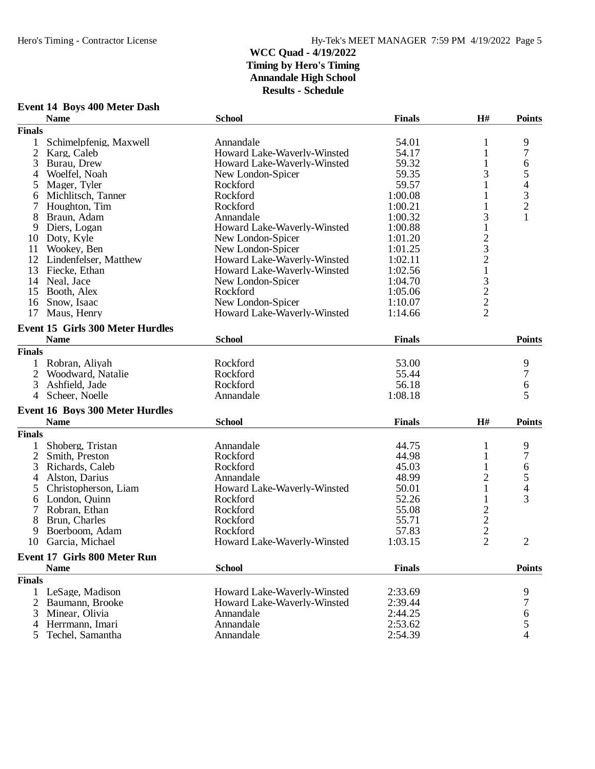|                | <b>Event 14 Boys 400 Meter Dash</b>     |                             |               |                         |                          |
|----------------|-----------------------------------------|-----------------------------|---------------|-------------------------|--------------------------|
|                | <b>Name</b>                             | <b>School</b>               | <b>Finals</b> | H#                      | <b>Points</b>            |
| <b>Finals</b>  |                                         |                             |               |                         |                          |
| $\mathbf{1}$   | Schimelpfenig, Maxwell                  | Annandale                   | 54.01         | 1                       | 9                        |
| $\overline{2}$ | Karg, Caleb                             | Howard Lake-Waverly-Winsted | 54.17         | $\mathbf{1}$            | $\boldsymbol{7}$         |
| 3              | Burau, Drew                             | Howard Lake-Waverly-Winsted | 59.32         | 1                       | 6                        |
| 4              | Woelfel, Noah                           | New London-Spicer           | 59.35         | 3                       | 5                        |
| 5              | Mager, Tyler                            | Rockford                    | 59.57         | 1                       | $\overline{\mathcal{L}}$ |
| 6              | Michlitsch, Tanner                      | Rockford                    | 1:00.08       | 1                       | 3                        |
| 7              | Houghton, Tim                           | Rockford                    | 1:00.21       | 1                       | $\overline{c}$           |
| 8              | Braun, Adam                             | Annandale                   | 1:00.32       | 3                       | $\mathbf{1}$             |
| 9              | Diers, Logan                            | Howard Lake-Waverly-Winsted | 1:00.88       | $\mathbf{1}$            |                          |
| 10             | Doty, Kyle                              | New London-Spicer           | 1:01.20       | $\overline{\mathbf{c}}$ |                          |
| 11             | Wookey, Ben                             | New London-Spicer           | 1:01.25       | 3                       |                          |
| 12             | Lindenfelser, Matthew                   | Howard Lake-Waverly-Winsted | 1:02.11       | $\overline{c}$          |                          |
| 13             | Fiecke, Ethan                           | Howard Lake-Waverly-Winsted | 1:02.56       | $\mathbf 1$             |                          |
|                | 14 Neal, Jace                           | New London-Spicer           | 1:04.70       | $\mathfrak{Z}$          |                          |
|                | 15 Booth, Alex                          | Rockford                    | 1:05.06       |                         |                          |
| 16             | Snow, Isaac                             | New London-Spicer           | 1:10.07       | $\frac{2}{2}$           |                          |
| 17             | Maus, Henry                             | Howard Lake-Waverly-Winsted | 1:14.66       | $\overline{2}$          |                          |
|                | <b>Event 15 Girls 300 Meter Hurdles</b> |                             |               |                         |                          |
|                | <b>Name</b>                             | <b>School</b>               | <b>Finals</b> |                         | <b>Points</b>            |
| <b>Finals</b>  |                                         |                             |               |                         |                          |
|                | 1 Robran, Aliyah                        | Rockford                    | 53.00         |                         | 9                        |
|                | Woodward, Natalie                       | Rockford                    | 55.44         |                         | 7                        |
| 3              | Ashfield, Jade                          | Rockford                    | 56.18         |                         | 6                        |
| $\overline{4}$ | Scheer, Noelle                          | Annandale                   | 1:08.18       |                         | 5                        |
|                | <b>Event 16 Boys 300 Meter Hurdles</b>  |                             |               |                         |                          |
|                | <b>Name</b>                             | <b>School</b>               | <b>Finals</b> | H#                      | <b>Points</b>            |
| <b>Finals</b>  |                                         |                             |               |                         |                          |
| 1              | Shoberg, Tristan                        | Annandale                   | 44.75         | 1                       | 9                        |
| 2              | Smith, Preston                          | Rockford                    | 44.98         | $\mathbf{1}$            | 7                        |
| 3              | Richards, Caleb                         | Rockford                    | 45.03         | 1                       | 6                        |
| 4              | Alston, Darius                          | Annandale                   | 48.99         | 2                       | 5                        |
| 5              | Christopherson, Liam                    | Howard Lake-Waverly-Winsted | 50.01         | $\mathbf{1}$            | $\overline{4}$           |
| 6              | London, Quinn                           | Rockford                    | 52.26         | 1                       | 3                        |
|                | Robran, Ethan                           | Rockford                    | 55.08         | $\sqrt{2}$              |                          |
| 8              | Brun, Charles                           | Rockford                    | 55.71         | $\overline{c}$          |                          |
| 9              | Boerboom, Adam                          | Rockford                    | 57.83         | $\overline{2}$          |                          |
|                | 10 Garcia, Michael                      | Howard Lake-Waverly-Winsted | 1:03.15       | $\overline{2}$          | 2                        |
|                | <b>Event 17 Girls 800 Meter Run</b>     |                             |               |                         |                          |
|                | <b>Name</b>                             | <b>School</b>               | <b>Finals</b> |                         | <b>Points</b>            |
| <b>Finals</b>  |                                         |                             |               |                         |                          |
|                | 1 LeSage, Madison                       | Howard Lake-Waverly-Winsted | 2:33.69       |                         | 9                        |
|                | Baumann, Brooke                         | Howard Lake-Waverly-Winsted | 2:39.44       |                         | 7                        |
| 3              | Minear, Olivia                          | Annandale                   | 2:44.25       |                         | 6                        |
| 4              | Herrmann, Imari                         | Annandale                   | 2:53.62       |                         | 5                        |
| 5              | Techel, Samantha                        | Annandale                   | 2:54.39       |                         | 4                        |
|                |                                         |                             |               |                         |                          |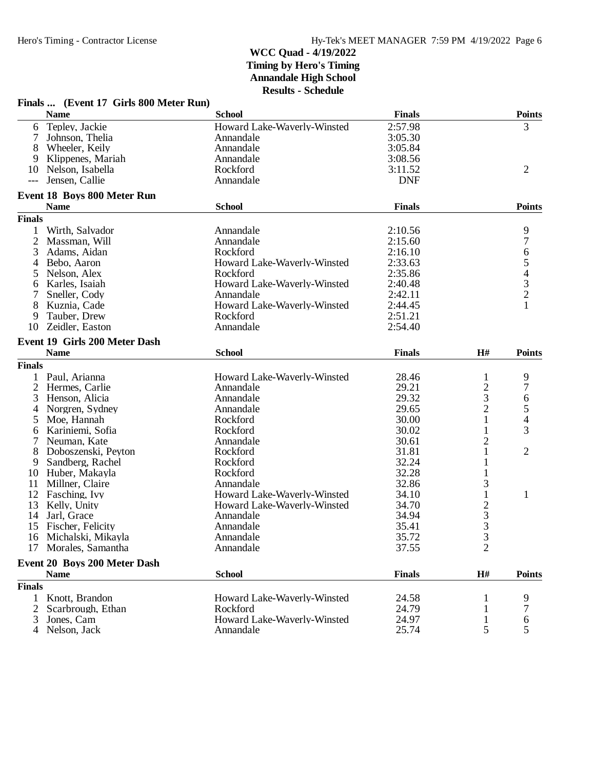|                | Finals  (Event 17 Girls 800 Meter Run) |                             |               |                |                          |
|----------------|----------------------------------------|-----------------------------|---------------|----------------|--------------------------|
|                | <b>Name</b>                            | <b>School</b>               | <b>Finals</b> |                | <b>Points</b>            |
| 6              | Tepley, Jackie                         | Howard Lake-Waverly-Winsted | 2:57.98       |                | 3                        |
| 7              | Johnson, Thelia                        | Annandale                   | 3:05.30       |                |                          |
| 8              | Wheeler, Keily                         | Annandale                   | 3:05.84       |                |                          |
| 9              | Klippenes, Mariah                      | Annandale                   | 3:08.56       |                |                          |
| 10             | Nelson, Isabella                       | Rockford                    | 3:11.52       |                | $\overline{2}$           |
| $---$          | Jensen, Callie                         | Annandale                   | <b>DNF</b>    |                |                          |
|                | <b>Event 18 Boys 800 Meter Run</b>     |                             |               |                |                          |
|                | <b>Name</b>                            | <b>School</b>               | <b>Finals</b> |                | <b>Points</b>            |
| <b>Finals</b>  |                                        |                             |               |                |                          |
| 1              | Wirth, Salvador                        | Annandale                   | 2:10.56       |                | 9                        |
| 2              | Massman, Will                          | Annandale                   | 2:15.60       |                | 7                        |
| 3              | Adams, Aidan                           | Rockford                    | 2:16.10       |                | 6                        |
| 4              | Bebo, Aaron                            | Howard Lake-Waverly-Winsted | 2:33.63       |                | 5                        |
| 5              | Nelson, Alex                           | Rockford                    | 2:35.86       |                | $\overline{\mathcal{L}}$ |
| 6              | Karles, Isaiah                         | Howard Lake-Waverly-Winsted | 2:40.48       |                | $\frac{3}{2}$            |
| 7              | Sneller, Cody                          | Annandale                   | 2:42.11       |                |                          |
| 8              | Kuznia, Cade                           | Howard Lake-Waverly-Winsted | 2:44.45       |                | 1                        |
| 9              | Tauber, Drew                           | Rockford                    | 2:51.21       |                |                          |
| 10             | Zeidler, Easton                        | Annandale                   | 2:54.40       |                |                          |
|                | Event 19 Girls 200 Meter Dash          |                             |               |                |                          |
|                | <b>Name</b>                            | <b>School</b>               | <b>Finals</b> | H#             | <b>Points</b>            |
| <b>Finals</b>  |                                        |                             |               |                |                          |
|                | 1 Paul, Arianna                        | Howard Lake-Waverly-Winsted | 28.46         | 1              | 9                        |
| $\overline{2}$ | Hermes, Carlie                         | Annandale                   | 29.21         | 2              | 7                        |
| 3              | Henson, Alicia                         | Annandale                   | 29.32         | 3              | 6                        |
| 4              | Norgren, Sydney                        | Annandale                   | 29.65         | $\overline{2}$ | 5                        |
| 5              | Moe, Hannah                            | Rockford                    | 30.00         | $\mathbf{1}$   | 4                        |
| 6              | Kariniemi, Sofia                       | Rockford                    | 30.02         | 1              | 3                        |
| $\tau$         | Neuman, Kate                           | Annandale                   | 30.61         | $\mathbf{2}$   |                          |
| 8              | Doboszenski, Peyton                    | Rockford                    | 31.81         | 1              | 2                        |
| 9              | Sandberg, Rachel                       | Rockford                    | 32.24         | 1              |                          |
| 10             | Huber, Makayla                         | Rockford                    | 32.28         | 1              |                          |
| 11             | Millner, Claire                        | Annandale                   | 32.86         | 3              |                          |
| 12             | Fasching, Ivy                          | Howard Lake-Waverly-Winsted | 34.10         | 1              | $\mathbf{1}$             |
| 13             | Kelly, Unity                           | Howard Lake-Waverly-Winsted | 34.70         |                |                          |
| 14             | Jarl, Grace                            | Annandale                   | 34.94         | $\frac{2}{3}$  |                          |
|                | 15 Fischer, Felicity                   | Annandale                   | 35.41         | 3              |                          |
|                | 16 Michalski, Mikayla                  | Annandale                   | 35.72         |                |                          |
| 17             | Morales, Samantha                      | Annandale                   | 37.55         | $\frac{3}{2}$  |                          |
|                | Event 20 Boys 200 Meter Dash           |                             |               |                |                          |
|                | <b>Name</b>                            | <b>School</b>               | <b>Finals</b> | H#             | <b>Points</b>            |
| <b>Finals</b>  |                                        |                             |               |                |                          |
| $\mathbf{1}$   | Knott, Brandon                         | Howard Lake-Waverly-Winsted | 24.58         |                | 9                        |
| 2              | Scarbrough, Ethan                      | Rockford                    | 24.79         |                | 7                        |
| 3              | Jones, Cam                             | Howard Lake-Waverly-Winsted | 24.97         |                | 6                        |
| 4              | Nelson, Jack                           | Annandale                   | 25.74         | 5              | 5                        |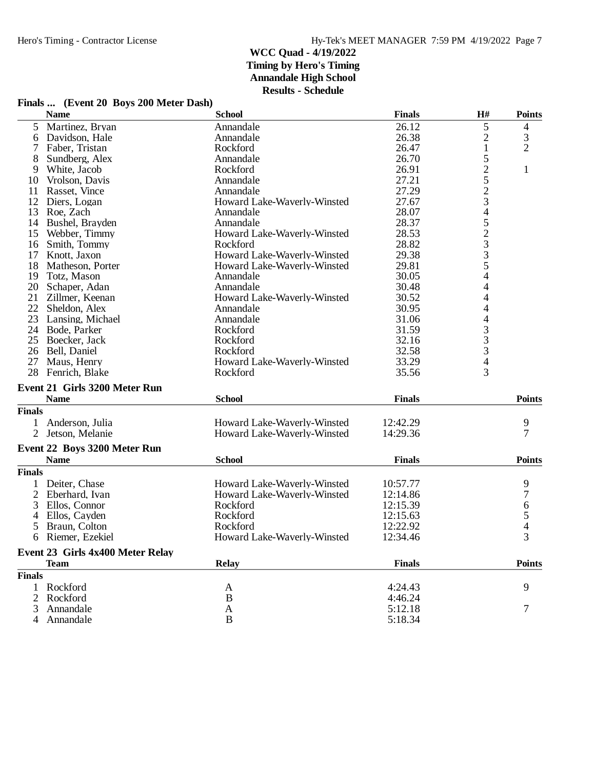|                | <b>Name</b>                      | <b>School</b>               | <b>Finals</b> | H#                                         | <b>Points</b>  |
|----------------|----------------------------------|-----------------------------|---------------|--------------------------------------------|----------------|
| 5              | Martinez, Bryan                  | Annandale                   | 26.12         | 5                                          | 4              |
| 6              | Davidson, Hale                   | Annandale                   | 26.38         | $\overline{c}$                             | 3              |
| 7              | Faber, Tristan                   | Rockford                    | 26.47         | $\mathbf{1}$                               | $\overline{2}$ |
| 8              | Sundberg, Alex                   | Annandale                   | 26.70         | 5                                          |                |
| 9              | White, Jacob                     | Rockford                    | 26.91         |                                            | $\mathbf{1}$   |
| 10             | Vrolson, Davis                   | Annandale                   | 27.21         |                                            |                |
| 11             | Rasset, Vince                    | Annandale                   | 27.29         |                                            |                |
| 12             | Diers, Logan                     | Howard Lake-Waverly-Winsted | 27.67         | 2523452335                                 |                |
| 13             | Roe, Zach                        | Annandale                   | 28.07         |                                            |                |
| 14             | Bushel, Brayden                  | Annandale                   | 28.37         |                                            |                |
| 15             | Webber, Timmy                    | Howard Lake-Waverly-Winsted | 28.53         |                                            |                |
| 16             | Smith, Tommy                     | Rockford                    | 28.82         |                                            |                |
| 17             | Knott, Jaxon                     | Howard Lake-Waverly-Winsted | 29.38         |                                            |                |
| 18             | Matheson, Porter                 | Howard Lake-Waverly-Winsted | 29.81         |                                            |                |
| 19             | Totz, Mason                      | Annandale                   | 30.05         | 4                                          |                |
| 20             | Schaper, Adan                    | Annandale                   | 30.48         | 4                                          |                |
| 21             | Zillmer, Keenan                  | Howard Lake-Waverly-Winsted | 30.52         | 4                                          |                |
| 22             | Sheldon, Alex                    | Annandale                   | 30.95         | 4                                          |                |
| 23             | Lansing, Michael                 | Annandale                   | 31.06         | $\overline{\mathcal{L}}$                   |                |
|                | 24 Bode, Parker                  | Rockford                    | 31.59         |                                            |                |
| 25             | Boecker, Jack                    | Rockford                    | 32.16         | $\begin{array}{c} 3 \\ 3 \\ 3 \end{array}$ |                |
| 26             | Bell, Daniel                     | Rockford                    | 32.58         |                                            |                |
| 27             | Maus, Henry                      | Howard Lake-Waverly-Winsted | 33.29         | $\overline{4}$                             |                |
| 28             | Fenrich, Blake                   | Rockford                    | 35.56         | 3                                          |                |
|                |                                  |                             |               |                                            |                |
|                | Event 21 Girls 3200 Meter Run    |                             |               |                                            |                |
|                | <b>Name</b>                      | <b>School</b>               | <b>Finals</b> |                                            | <b>Points</b>  |
| <b>Finals</b>  |                                  |                             |               |                                            |                |
| 1              | Anderson, Julia                  | Howard Lake-Waverly-Winsted | 12:42.29      |                                            | 9              |
|                | 2 Jetson, Melanie                | Howard Lake-Waverly-Winsted | 14:29.36      |                                            | $\overline{7}$ |
|                | Event 22 Boys 3200 Meter Run     |                             |               |                                            |                |
|                | <b>Name</b>                      | <b>School</b>               | <b>Finals</b> |                                            | <b>Points</b>  |
| <b>Finals</b>  |                                  |                             |               |                                            |                |
|                |                                  |                             |               |                                            |                |
| 1              | Deiter, Chase                    | Howard Lake-Waverly-Winsted | 10:57.77      |                                            | 9              |
| 2              | Eberhard, Ivan                   | Howard Lake-Waverly-Winsted | 12:14.86      |                                            | $\overline{7}$ |
| 3              | Ellos, Connor                    | Rockford                    | 12:15.39      |                                            | $\frac{6}{5}$  |
| 4              | Ellos, Cayden                    | Rockford                    | 12:15.63      |                                            |                |
| 5              | Braun, Colton                    | Rockford                    | 12:22.92      |                                            |                |
| 6              | Riemer, Ezekiel                  | Howard Lake-Waverly-Winsted | 12:34.46      |                                            | $\overline{3}$ |
|                | Event 23 Girls 4x400 Meter Relay |                             |               |                                            |                |
|                | <b>Team</b>                      | <b>Relay</b>                | <b>Finals</b> |                                            | <b>Points</b>  |
| <b>Finals</b>  |                                  |                             |               |                                            |                |
| 1              | Rockford                         | A                           | 4:24.43       |                                            | 9              |
| $\overline{2}$ | Rockford                         | B                           | 4:46.24       |                                            |                |
| 3              | Annandale                        |                             | 5:12.18       |                                            | 7              |
|                |                                  | A                           |               |                                            |                |
| 4              | Annandale                        | $\, {\bf B}$                | 5:18.34       |                                            |                |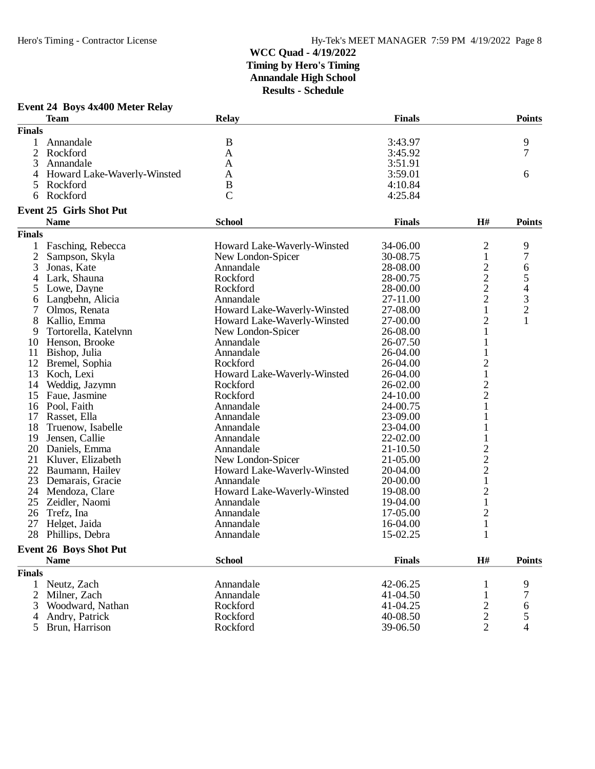# **Event 24 Boys 4x400 Meter Relay**

|                | <b>Team</b>                    | Relay                       | <b>Finals</b> |                | <b>Points</b>  |
|----------------|--------------------------------|-----------------------------|---------------|----------------|----------------|
| <b>Finals</b>  |                                |                             |               |                |                |
|                | Annandale                      | $\mathbf B$                 | 3:43.97       |                | 9              |
| $\mathfrak{2}$ | Rockford                       | A                           | 3:45.92       |                | 7              |
| 3              | Annandale                      | A                           | 3:51.91       |                |                |
| 4              | Howard Lake-Waverly-Winsted    | A                           | 3:59.01       |                | 6              |
| 5              | Rockford                       | B                           | 4:10.84       |                |                |
| 6              | Rockford                       | $\overline{C}$              | 4:25.84       |                |                |
|                | <b>Event 25 Girls Shot Put</b> |                             |               |                |                |
|                | <b>Name</b>                    | <b>School</b>               | <b>Finals</b> | H#             | <b>Points</b>  |
| <b>Finals</b>  |                                |                             |               |                |                |
| 1              | Fasching, Rebecca              | Howard Lake-Waverly-Winsted | 34-06.00      | $\overline{c}$ | 9              |
| $\overline{2}$ | Sampson, Skyla                 | New London-Spicer           | 30-08.75      | $\mathbf{1}$   | 7              |
| 3              | Jonas, Kate                    | Annandale                   | 28-08.00      | $\overline{c}$ | 6              |
|                | Lark, Shauna                   | Rockford                    | 28-00.75      | $\overline{c}$ | 5              |
| 4              |                                |                             |               |                |                |
| 5              | Lowe, Dayne                    | Rockford                    | 28-00.00      | $\overline{c}$ | $\overline{4}$ |
| 6              | Langbehn, Alicia               | Annandale                   | 27-11.00      | $\overline{c}$ | 3              |
| 7              | Olmos, Renata                  | Howard Lake-Waverly-Winsted | 27-08.00      | $\mathbf{1}$   | $\overline{c}$ |
| 8              | Kallio, Emma                   | Howard Lake-Waverly-Winsted | 27-00.00      | $\overline{c}$ | 1              |
| 9              | Tortorella, Katelynn           | New London-Spicer           | 26-08.00      | $\mathbf{1}$   |                |
| 10             | Henson, Brooke                 | Annandale                   | 26-07.50      | 1              |                |
| 11             | Bishop, Julia                  | Annandale                   | 26-04.00      | $\mathbf{1}$   |                |
| 12             | Bremel, Sophia                 | Rockford                    | 26-04.00      | $\overline{c}$ |                |
| 13             | Koch, Lexi                     | Howard Lake-Waverly-Winsted | 26-04.00      | $\,1\,$        |                |
| 14             | Weddig, Jazymn                 | Rockford                    | 26-02.00      |                |                |
| 15             | Faue, Jasmine                  | Rockford                    | 24-10.00      | $\frac{2}{2}$  |                |
|                | 16 Pool, Faith                 | Annandale                   | 24-00.75      | $\mathbf{1}$   |                |
| 17             | Rasset, Ella                   | Annandale                   | 23-09.00      | 1              |                |
| 18             | Truenow, Isabelle              | Annandale                   | 23-04.00      | 1              |                |
| 19             | Jensen, Callie                 | Annandale                   | 22-02.00      |                |                |
| 20             | Daniels, Emma                  | Annandale                   | 21-10.50      |                |                |
|                |                                |                             |               | $\overline{c}$ |                |
| 21             | Kluver, Elizabeth              | New London-Spicer           | 21-05.00      | $\overline{c}$ |                |
| 22             | Baumann, Hailey                | Howard Lake-Waverly-Winsted | 20-04.00      | $\overline{c}$ |                |
| 23             | Demarais, Gracie               | Annandale                   | 20-00.00      | $\mathbf{1}$   |                |
|                | 24 Mendoza, Clare              | Howard Lake-Waverly-Winsted | 19-08.00      | $\overline{c}$ |                |
| 25             | Zeidler, Naomi                 | Annandale                   | 19-04.00      | $\mathbf 1$    |                |
| 26             | Trefz, Ina                     | Annandale                   | 17-05.00      | $\overline{c}$ |                |
| 27             | Helget, Jaida                  | Annandale                   | 16-04.00      | $\mathbf{1}$   |                |
|                | 28 Phillips, Debra             | Annandale                   | 15-02.25      | 1              |                |
|                | <b>Event 26 Boys Shot Put</b>  |                             |               |                |                |
|                | <b>Name</b>                    | <b>School</b>               | <b>Finals</b> | H#             | <b>Points</b>  |
| <b>Finals</b>  |                                |                             |               |                |                |
| 1              | Neutz, Zach                    | Annandale                   | 42-06.25      | 1              | 9              |
| 2              | Milner, Zach                   | Annandale                   | 41-04.50      |                | 7              |
| 3              | Woodward, Nathan               | Rockford                    | 41-04.25      | $\overline{c}$ | 6              |
| 4              | Andry, Patrick                 | Rockford                    | 40-08.50      | $\overline{c}$ | 5              |
| 5              | Brun, Harrison                 | Rockford                    | 39-06.50      | $\overline{2}$ | 4              |
|                |                                |                             |               |                |                |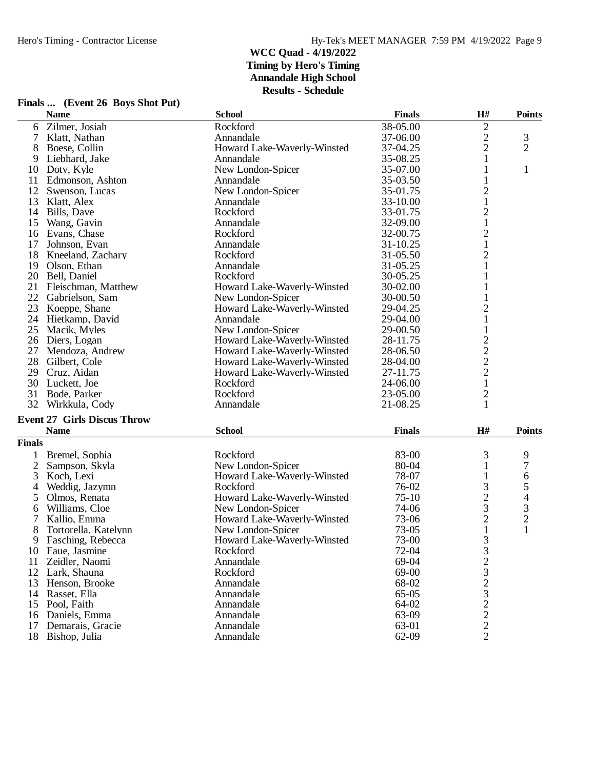|                | Finals  (Event 26 Boys Shot Put)   |                             |               |                                |                |
|----------------|------------------------------------|-----------------------------|---------------|--------------------------------|----------------|
|                | <b>Name</b>                        | <b>School</b>               | <b>Finals</b> | H#                             | <b>Points</b>  |
| 6              | Zilmer, Josiah                     | Rockford                    | 38-05.00      | 2                              |                |
| 7              | Klatt, Nathan                      | Annandale                   | 37-06.00      | $\overline{c}$                 | 3              |
|                | Boese, Collin                      | Howard Lake-Waverly-Winsted | 37-04.25      | $\overline{2}$                 | $\overline{2}$ |
| 9              | Liebhard, Jake                     | Annandale                   | 35-08.25      | 1                              |                |
| 10             | Doty, Kyle                         | New London-Spicer           | 35-07.00      | 1                              | $\mathbf{1}$   |
| 11             | Edmonson, Ashton                   | Annandale                   | 35-03.50      | 1                              |                |
| 12             | Swenson, Lucas                     | New London-Spicer           | 35-01.75      | $\overline{c}$                 |                |
| 13             | Klatt, Alex                        | Annandale                   | 33-10.00      | $\mathbf{1}$                   |                |
| 14             | Bills, Dave                        | Rockford                    | 33-01.75      | $\overline{c}$                 |                |
| 15             | Wang, Gavin                        | Annandale                   | 32-09.00      | $\mathbf 1$                    |                |
|                | 16 Evans, Chase                    | Rockford                    | 32-00.75      | $\overline{c}$                 |                |
| 17             | Johnson, Evan                      | Annandale                   | $31 - 10.25$  | $\mathbf{1}$                   |                |
| 18             | Kneeland, Zachary                  | Rockford                    | 31-05.50      | $\overline{c}$                 |                |
| 19             | Olson, Ethan                       | Annandale                   | 31-05.25      | 1                              |                |
|                | 20 Bell, Daniel                    | Rockford                    | 30-05.25      | 1                              |                |
|                | 21 Fleischman, Matthew             | Howard Lake-Waverly-Winsted | 30-02.00      | 1                              |                |
| 22             | Gabrielson, Sam                    | New London-Spicer           | 30-00.50      |                                |                |
| 23             | Koeppe, Shane                      | Howard Lake-Waverly-Winsted | 29-04.25      | $\overline{c}$                 |                |
| 24             | Hietkamp, David                    | Annandale                   | 29-04.00      | $\mathbf{1}$                   |                |
| 25             | Macik, Myles                       | New London-Spicer           | 29-00.50      | 1                              |                |
|                | 26 Diers, Logan                    | Howard Lake-Waverly-Winsted | 28-11.75      |                                |                |
| 27             | Mendoza, Andrew                    | Howard Lake-Waverly-Winsted | 28-06.50      | $\frac{2}{2}$                  |                |
| 28             | Gilbert, Cole                      | Howard Lake-Waverly-Winsted | 28-04.00      |                                |                |
| 29             | Cruz, Aidan                        | Howard Lake-Waverly-Winsted | 27-11.75      | $\frac{2}{2}$                  |                |
| 30             | Luckett, Joe                       | Rockford                    | 24-06.00      | $\mathbf{1}$                   |                |
| 31             | Bode, Parker                       | Rockford                    | 23-05.00      | $\overline{2}$                 |                |
| 32             | Wirkkula, Cody                     | Annandale                   | 21-08.25      | $\mathbf{1}$                   |                |
|                | <b>Event 27 Girls Discus Throw</b> |                             |               |                                |                |
|                | <b>Name</b>                        | <b>School</b>               | <b>Finals</b> | H#                             | <b>Points</b>  |
| <b>Finals</b>  |                                    |                             |               |                                |                |
|                |                                    |                             |               |                                |                |
| 1              | Bremel, Sophia                     | Rockford                    | 83-00         | 3                              | 9              |
| $\overline{2}$ | Sampson, Skyla                     | New London-Spicer           | 80-04         | 1                              | 7              |
| 3              | Koch, Lexi                         | Howard Lake-Waverly-Winsted | 78-07         | 1                              | 6              |
| 4              | Weddig, Jazymn                     | Rockford                    | 76-02         | 3                              | 5              |
| 5              | Olmos, Renata                      | Howard Lake-Waverly-Winsted | $75-10$       | $\overline{c}$                 | 4              |
| 6              | Williams, Cloe                     | New London-Spicer           | 74-06         | 3                              | 3              |
| 7              | Kallio, Emma                       | Howard Lake-Waverly-Winsted | 73-06         | $\overline{c}$<br>$\mathbf{1}$ | $\overline{c}$ |
| 8              | Tortorella, Katelynn               | New London-Spicer           | 73-05         |                                |                |
| 9              | Fasching, Rebecca                  | Howard Lake-Waverly-Winsted | 73-00         | 3                              |                |
| 10             | Faue, Jasmine                      | Rockford                    | 72-04         | 3                              |                |
| 11             | Zeidler, Naomi                     | Annandale                   | 69-04         | $\overline{c}$                 |                |
| 12             | Lark, Shauna                       | Rockford                    | 69-00         | 3                              |                |
| 13             | Henson, Brooke                     | Annandale                   | 68-02         | $\overline{c}$                 |                |
|                | 14 Rasset, Ella                    | Annandale                   | $65 - 05$     | 3                              |                |
| 15             | Pool, Faith                        | Annandale                   | 64-02         | 2                              |                |
| 16             | Daniels, Emma                      | Annandale                   | 63-09         | $\overline{c}$                 |                |
| 17             | Demarais, Gracie                   | Annandale                   | 63-01         | $\overline{c}$                 |                |
|                | 18 Bishop, Julia                   | Annandale                   | 62-09         | $\overline{2}$                 |                |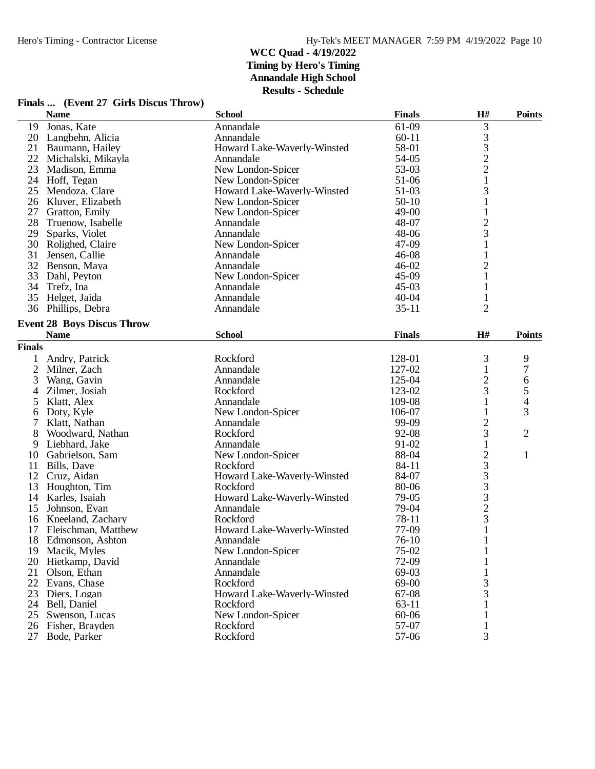|               | <b>Name</b>                       | <b>School</b>               | <b>Finals</b> | H#             | <b>Points</b>  |
|---------------|-----------------------------------|-----------------------------|---------------|----------------|----------------|
| 19            | Jonas, Kate                       | Annandale                   | 61-09         | 3              |                |
|               | 20 Langbehn, Alicia               | Annandale                   | $60 - 11$     | 3              |                |
| 21            | Baumann, Hailey                   | Howard Lake-Waverly-Winsted | 58-01         | 3              |                |
| 22            | Michalski, Mikayla                | Annandale                   | 54-05         | $\overline{c}$ |                |
| 23            | Madison, Emma                     | New London-Spicer           | 53-03         | $\overline{2}$ |                |
|               | 24 Hoff, Tegan                    | New London-Spicer           | 51-06         | $\mathbf{1}$   |                |
| 25            | Mendoza, Clare                    | Howard Lake-Waverly-Winsted | 51-03         | 3              |                |
| 26            | Kluver, Elizabeth                 | New London-Spicer           | $50-10$       | 1              |                |
| 27            | Gratton, Emily                    | New London-Spicer           | 49-00         | $\mathbf 1$    |                |
| 28            | Truenow, Isabelle                 | Annandale                   | 48-07         | $\overline{c}$ |                |
| 29            | Sparks, Violet                    | Annandale                   | 48-06         | 3              |                |
|               | 30 Rolighed, Claire               | New London-Spicer           | 47-09         |                |                |
| 31            | Jensen, Callie                    | Annandale                   | $46 - 08$     |                |                |
| 32            | Benson, Maya                      | Annandale                   | $46 - 02$     | $\overline{c}$ |                |
| 33            | Dahl, Peyton                      | New London-Spicer           | 45-09         | $\mathbf{1}$   |                |
|               | 34 Trefz, Ina                     | Annandale                   | $45 - 03$     | 1              |                |
| 35            | Helget, Jaida                     | Annandale                   | $40 - 04$     | 1              |                |
|               | 36 Phillips, Debra                | Annandale                   | $35 - 11$     | $\overline{2}$ |                |
|               |                                   |                             |               |                |                |
|               | <b>Event 28 Boys Discus Throw</b> |                             |               |                |                |
|               | <b>Name</b>                       | <b>School</b>               | <b>Finals</b> | H#             | <b>Points</b>  |
| <b>Finals</b> |                                   |                             |               |                |                |
| 1             | Andry, Patrick                    | Rockford                    | 128-01        | 3              | 9              |
| 2             | Milner, Zach                      | Annandale                   | 127-02        | $\mathbf{1}$   | 7              |
| 3             | Wang, Gavin                       | Annandale                   | 125-04        | $\overline{c}$ | 6              |
| 4             | Zilmer, Josiah                    | Rockford                    | 123-02        | 3              | 5              |
| 5             | Klatt, Alex                       | Annandale                   | 109-08        | 1              | 4              |
| 6             | Doty, Kyle                        | New London-Spicer           | 106-07        | 1              | 3              |
| 7             | Klatt, Nathan                     | Annandale                   | 99-09         | $\overline{c}$ |                |
| 8             | Woodward, Nathan                  | Rockford                    | 92-08         | 3              | $\overline{2}$ |
| 9             | Liebhard, Jake                    | Annandale                   | 91-02         | 1              |                |
| 10            | Gabrielson, Sam                   | New London-Spicer           | 88-04         | $\overline{c}$ | $\mathbf{1}$   |
| 11            | Bills, Dave                       | Rockford                    | 84-11         | 3              |                |
| 12            | Cruz, Aidan                       | Howard Lake-Waverly-Winsted | 84-07         | 3              |                |
| 13            | Houghton, Tim                     | Rockford                    | 80-06         | 3              |                |
| 14            | Karles, Isaiah                    | Howard Lake-Waverly-Winsted | 79-05         | 3              |                |
| 15            | Johnson, Evan                     | Annandale                   | 79-04         | $\overline{c}$ |                |
|               | 16 Kneeland, Zachary              | Rockford                    | 78-11         | 3              |                |
| 17            | Fleischman, Matthew               | Howard Lake-Waverly-Winsted | 77-09         |                |                |
|               | 18 Edmonson, Ashton               | Annandale                   | $76-10$       |                |                |
|               | 19 Macik, Myles                   | New London-Spicer           | 75-02         | 1              |                |
| 20            | Hietkamp, David                   | Annandale                   | 72-09         |                |                |
| 21            | Olson, Ethan                      | Annandale                   | 69-03         |                |                |
| 22            | Evans, Chase                      | Rockford                    | 69-00         | 3              |                |
| 23            | Diers, Logan                      | Howard Lake-Waverly-Winsted | 67-08         | 3              |                |
| 24            | Bell, Daniel                      | Rockford                    | $63-11$       |                |                |
| 25            | Swenson, Lucas                    | New London-Spicer           | 60-06         |                |                |
|               | 26 Fisher, Brayden                | Rockford                    | 57-07         |                |                |
| 27            | Bode, Parker                      | Rockford                    | 57-06         | 3              |                |
|               |                                   |                             |               |                |                |

#### **Finals ... (Event 27 Girls Discus Throw)**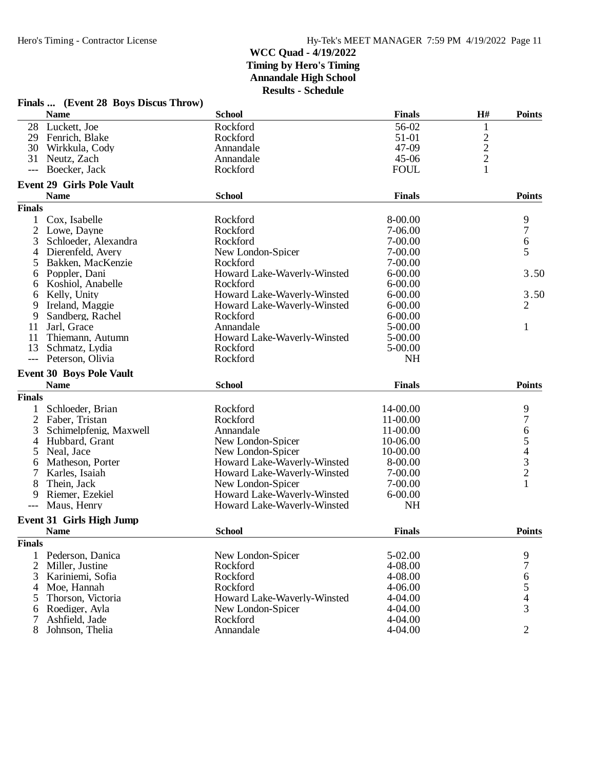|                | Finals  (Event 28 Boys Discus Throw) |                             |               |               |                                       |
|----------------|--------------------------------------|-----------------------------|---------------|---------------|---------------------------------------|
|                | <b>Name</b>                          | <b>School</b>               | <b>Finals</b> | H#            | <b>Points</b>                         |
| 28             | Luckett, Joe                         | Rockford                    | 56-02         | $\mathbf{1}$  |                                       |
| 29             | Fenrich, Blake                       | Rockford                    | 51-01         |               |                                       |
| 30             | Wirkkula, Cody                       | Annandale                   | 47-09         |               |                                       |
| 31             | Neutz, Zach                          | Annandale                   | $45 - 06$     | $\frac{2}{2}$ |                                       |
| $---$          | Boecker, Jack                        | Rockford                    | <b>FOUL</b>   | $\mathbf{1}$  |                                       |
|                | <b>Event 29 Girls Pole Vault</b>     |                             |               |               |                                       |
|                | <b>Name</b>                          | <b>School</b>               | <b>Finals</b> |               | <b>Points</b>                         |
| <b>Finals</b>  |                                      |                             |               |               |                                       |
|                | Cox, Isabelle                        | Rockford                    | 8-00.00       |               | 9                                     |
| $\overline{c}$ | Lowe, Dayne                          | Rockford                    | 7-06.00       |               | 7                                     |
| 3              | Schloeder, Alexandra                 | Rockford                    | 7-00.00       |               | 6                                     |
| $\overline{4}$ | Dierenfeld, Avery                    | New London-Spicer           | 7-00.00       |               | 5                                     |
| 5              | Bakken, MacKenzie                    | Rockford                    | 7-00.00       |               |                                       |
| 6              | Poppler, Dani                        | Howard Lake-Waverly-Winsted | $6 - 00.00$   |               | 3.50                                  |
| 6              | Koshiol, Anabelle                    | Rockford                    | $6 - 00.00$   |               |                                       |
| 6              | Kelly, Unity                         | Howard Lake-Waverly-Winsted | $6 - 00.00$   |               | 3.50                                  |
| 9              | Ireland, Maggie                      | Howard Lake-Waverly-Winsted | $6 - 00.00$   |               | $\overline{2}$                        |
| 9              | Sandberg, Rachel                     | Rockford                    | $6 - 00.00$   |               |                                       |
| 11             | Jarl, Grace                          | Annandale                   | 5-00.00       |               | $\mathbf{1}$                          |
| 11             | Thiemann, Autumn                     | Howard Lake-Waverly-Winsted | 5-00.00       |               |                                       |
| 13             | Schmatz, Lydia                       | Rockford                    | 5-00.00       |               |                                       |
| $---$          | Peterson, Olivia                     | Rockford                    | <b>NH</b>     |               |                                       |
|                | <b>Event 30 Boys Pole Vault</b>      |                             |               |               |                                       |
|                | <b>Name</b>                          | <b>School</b>               | <b>Finals</b> |               | <b>Points</b>                         |
| <b>Finals</b>  |                                      |                             |               |               |                                       |
|                | Schloeder, Brian                     | Rockford                    | 14-00.00      |               | 9                                     |
| $\overline{2}$ | Faber, Tristan                       | Rockford                    | 11-00.00      |               | $\overline{7}$                        |
| 3              | Schimelpfenig, Maxwell               | Annandale                   | 11-00.00      |               |                                       |
| 4              | Hubbard, Grant                       | New London-Spicer           | 10-06.00      |               | 65432                                 |
| 5              | Neal, Jace                           | New London-Spicer           | 10-00.00      |               |                                       |
| 6              | Matheson, Porter                     | Howard Lake-Waverly-Winsted | 8-00.00       |               |                                       |
|                | Karles, Isaiah                       | Howard Lake-Waverly-Winsted | 7-00.00       |               |                                       |
| 8              | Thein, Jack                          | New London-Spicer           | 7-00.00       |               | 1                                     |
| 9              | Riemer, Ezekiel                      | Howard Lake-Waverly-Winsted | $6 - 00.00$   |               |                                       |
| ---            | Maus, Henry                          | Howard Lake-Waverly-Winsted | <b>NH</b>     |               |                                       |
|                | <b>Event 31 Girls High Jump</b>      |                             |               |               |                                       |
|                | <b>Name</b>                          | <b>School</b>               | <b>Finals</b> |               | <b>Points</b>                         |
| <b>Finals</b>  |                                      |                             |               |               |                                       |
| 1              | Pederson, Danica                     | New London-Spicer           | 5-02.00       |               | 9                                     |
| $\overline{2}$ | Miller, Justine                      | Rockford                    | 4-08.00       |               | $\boldsymbol{7}$                      |
| 3              | Kariniemi, Sofia                     | Rockford                    | 4-08.00       |               |                                       |
| 4              | Moe, Hannah                          | Rockford                    | 4-06.00       |               | $\begin{array}{c} 6 \\ 5 \end{array}$ |
| 5              | Thorson, Victoria                    | Howard Lake-Waverly-Winsted | 4-04.00       |               | $\overline{4}$                        |
| 6              | Roediger, Ayla                       | New London-Spicer           | 4-04.00       |               | 3                                     |
| 7              | Ashfield, Jade                       | Rockford                    | 4-04.00       |               |                                       |
| 8              | Johnson, Thelia                      | Annandale                   | 4-04.00       |               | $\overline{2}$                        |
|                |                                      |                             |               |               |                                       |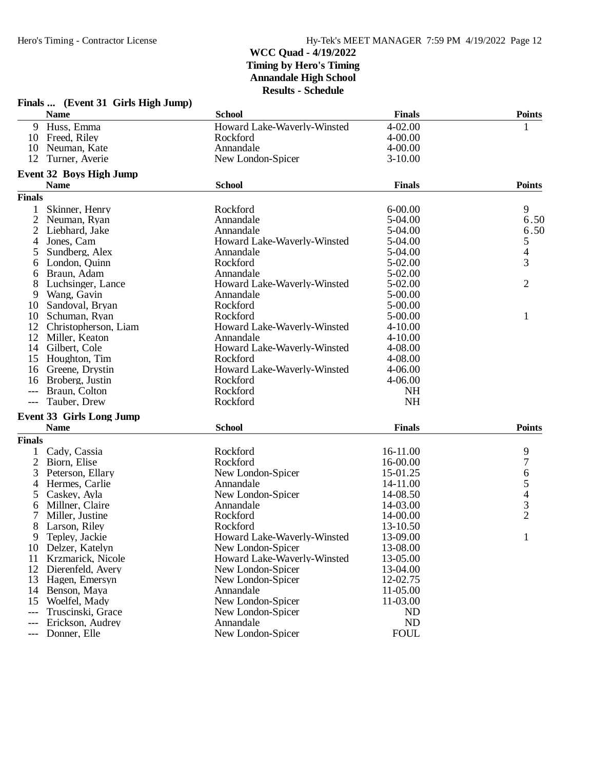|                | Finals  (Event 31 Girls High Jump) |                             |               |                          |
|----------------|------------------------------------|-----------------------------|---------------|--------------------------|
|                | <b>Name</b>                        | <b>School</b>               | <b>Finals</b> | <b>Points</b>            |
| 9              | Huss, Emma                         | Howard Lake-Waverly-Winsted | $4 - 02.00$   | 1                        |
| 10             | Freed, Riley                       | Rockford                    | 4-00.00       |                          |
| 10             | Neuman, Kate                       | Annandale                   | $4 - 00.00$   |                          |
| 12             | Turner, Averie                     | New London-Spicer           | $3-10.00$     |                          |
|                | <b>Event 32 Boys High Jump</b>     |                             |               |                          |
|                | <b>Name</b>                        | <b>School</b>               | <b>Finals</b> | <b>Points</b>            |
| <b>Finals</b>  |                                    |                             |               |                          |
| 1              | Skinner, Henry                     | Rockford                    | $6 - 00.00$   | 9                        |
| $\overline{2}$ | Neuman, Ryan                       | Annandale                   | 5-04.00       | 6.50                     |
| 2              | Liebhard, Jake                     | Annandale                   | 5-04.00       | 6.50                     |
| 4              | Jones, Cam                         | Howard Lake-Waverly-Winsted | 5-04.00       | 5                        |
| 5              | Sundberg, Alex                     | Annandale                   | 5-04.00       | $\overline{\mathcal{A}}$ |
| 6              | London, Quinn                      | Rockford                    | 5-02.00       | 3                        |
| 6              | Braun, Adam                        | Annandale                   | 5-02.00       |                          |
|                | Luchsinger, Lance                  | Howard Lake-Waverly-Winsted | 5-02.00       | 2                        |
| 9              | Wang, Gavin                        | Annandale                   | 5-00.00       |                          |
| 10             | Sandoval, Bryan                    | Rockford                    | 5-00.00       |                          |
| 10             | Schuman, Ryan                      | Rockford                    | $5 - 00.00$   | 1                        |
| 12             | Christopherson, Liam               | Howard Lake-Waverly-Winsted | 4-10.00       |                          |
| 12             | Miller, Keaton                     | Annandale                   | $4 - 10.00$   |                          |
| 14             | Gilbert, Cole                      | Howard Lake-Waverly-Winsted | 4-08.00       |                          |
| 15             | Houghton, Tim                      | Rockford                    | 4-08.00       |                          |
| 16             | Greene, Drystin                    | Howard Lake-Waverly-Winsted | 4-06.00       |                          |
| 16             | Broberg, Justin                    | Rockford                    | 4-06.00       |                          |
| ---            | Braun, Colton                      | Rockford                    | <b>NH</b>     |                          |
| $---$          | Tauber, Drew                       | Rockford                    | <b>NH</b>     |                          |
|                | <b>Event 33 Girls Long Jump</b>    |                             |               |                          |
|                | <b>Name</b>                        | <b>School</b>               | <b>Finals</b> | <b>Points</b>            |
| <b>Finals</b>  |                                    |                             |               |                          |
|                | Cady, Cassia                       | Rockford                    | 16-11.00      | 9                        |
| $\overline{2}$ | Biorn, Elise                       | Rockford                    | 16-00.00      | $\overline{7}$           |
| 3              | Peterson, Ellary                   | New London-Spicer           | 15-01.25      |                          |
| 4              | Hermes, Carlie                     | Annandale                   | 14-11.00      | 65432                    |
| 5              | Caskey, Ayla                       | New London-Spicer           | 14-08.50      |                          |
| 6              | Millner, Claire                    | Annandale                   | 14-03.00      |                          |
| 7              | Miller, Justine                    | Rockford                    | 14-00.00      |                          |
| 8              | Larson, Riley                      | Rockford                    | 13-10.50      |                          |
| 9              | Tepley, Jackie                     | Howard Lake-Waverly-Winsted | 13-09.00      | $\mathbf{1}$             |
| 10             | Delzer, Katelyn                    | New London-Spicer           | 13-08.00      |                          |
| 11             | Krzmarick, Nicole                  | Howard Lake-Waverly-Winsted | 13-05.00      |                          |
| 12             | Dierenfeld, Avery                  | New London-Spicer           | 13-04.00      |                          |
| 13             | Hagen, Emersyn                     | New London-Spicer           | 12-02.75      |                          |
| 14             | Benson, Maya                       | Annandale                   | 11-05.00      |                          |
| 15             | Woelfel, Mady                      | New London-Spicer           | 11-03.00      |                          |
| $---$          | Truscinski, Grace                  | New London-Spicer           | <b>ND</b>     |                          |
| ---            | Erickson, Audrey                   | Annandale                   | <b>ND</b>     |                          |
| $---$          | Donner, Elle                       | New London-Spicer           | <b>FOUL</b>   |                          |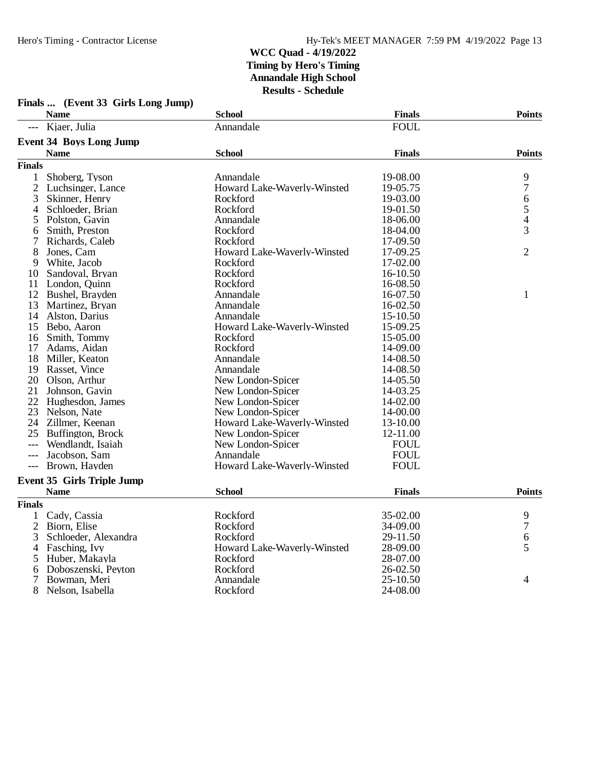|                | <b>Name</b>                       | <b>School</b>               | <b>Finals</b> | <b>Points</b>  |
|----------------|-----------------------------------|-----------------------------|---------------|----------------|
|                | Kjaer, Julia                      | Annandale                   | <b>FOUL</b>   |                |
|                | <b>Event 34 Boys Long Jump</b>    |                             |               |                |
|                | <b>Name</b>                       | <b>School</b>               | <b>Finals</b> | <b>Points</b>  |
| <b>Finals</b>  |                                   |                             |               |                |
| $\mathbf{1}$   | Shoberg, Tyson                    | Annandale                   | 19-08.00      | 9              |
| $\mathfrak{2}$ | Luchsinger, Lance                 | Howard Lake-Waverly-Winsted | 19-05.75      | 7              |
| 3              | Skinner, Henry                    | Rockford                    | 19-03.00      | 6              |
| 4              | Schloeder, Brian                  | Rockford                    | 19-01.50      |                |
| 5              | Polston, Gavin                    | Annandale                   | 18-06.00      | $\frac{5}{4}$  |
| 6              | Smith, Preston                    | Rockford                    | 18-04.00      | 3              |
| 7              | Richards, Caleb                   | Rockford                    | 17-09.50      |                |
| 8              | Jones, Cam                        | Howard Lake-Waverly-Winsted | 17-09.25      | $\overline{2}$ |
| 9              | White, Jacob                      | Rockford                    | 17-02.00      |                |
| 10             | Sandoval, Bryan                   | Rockford                    | 16-10.50      |                |
| 11             | London, Quinn                     | Rockford                    | 16-08.50      |                |
| 12             | Bushel, Brayden                   | Annandale                   | 16-07.50      | $\mathbf{1}$   |
| 13             | Martinez, Bryan                   | Annandale                   | 16-02.50      |                |
| 14             | Alston, Darius                    | Annandale                   | 15-10.50      |                |
|                | 15 Bebo, Aaron                    | Howard Lake-Waverly-Winsted | 15-09.25      |                |
| 16             | Smith, Tommy                      | Rockford                    | 15-05.00      |                |
| 17             | Adams, Aidan                      | Rockford                    | 14-09.00      |                |
| 18             | Miller, Keaton                    | Annandale                   | 14-08.50      |                |
| 19             | Rasset, Vince                     | Annandale                   | 14-08.50      |                |
| 20             | Olson, Arthur                     | New London-Spicer           | 14-05.50      |                |
| 21             | Johnson, Gavin                    | New London-Spicer           | 14-03.25      |                |
| 22             | Hughesdon, James                  | New London-Spicer           | 14-02.00      |                |
| 23             | Nelson, Nate                      | New London-Spicer           | 14-00.00      |                |
| 24             | Zillmer, Keenan                   | Howard Lake-Waverly-Winsted | 13-10.00      |                |
| 25             | Buffington, Brock                 | New London-Spicer           | 12-11.00      |                |
| ---            | Wendlandt, Isaiah                 | New London-Spicer           | <b>FOUL</b>   |                |
| $---$          | Jacobson, Sam                     | Annandale                   | <b>FOUL</b>   |                |
| $---$          | Brown, Hayden                     | Howard Lake-Waverly-Winsted | <b>FOUL</b>   |                |
|                | <b>Event 35 Girls Triple Jump</b> |                             |               |                |
|                | <b>Name</b>                       | <b>School</b>               | <b>Finals</b> | <b>Points</b>  |
| <b>Finals</b>  |                                   |                             |               |                |
| 1              | Cady, Cassia                      | Rockford                    | 35-02.00      |                |
| $\mathbf{2}$   | Biorn, Elise                      | Rockford                    | 34-09.00      | $\frac{9}{7}$  |
| 3              | Schloeder, Alexandra              | Rockford                    | 29-11.50      | 6              |
| 4              | Fasching, Ivy                     | Howard Lake-Waverly-Winsted | 28-09.00      | 5              |
| 5              | Huber, Makayla                    | Rockford                    | 28-07.00      |                |
| 6              | Doboszenski, Peyton               | Rockford                    | 26-02.50      |                |
| 7              | Bowman, Meri                      | Annandale                   | 25-10.50      | 4              |
| 8              | Nelson, Isabella                  | Rockford                    | 24-08.00      |                |

# **Finals ... (Event 33 Girls Long Jump)**